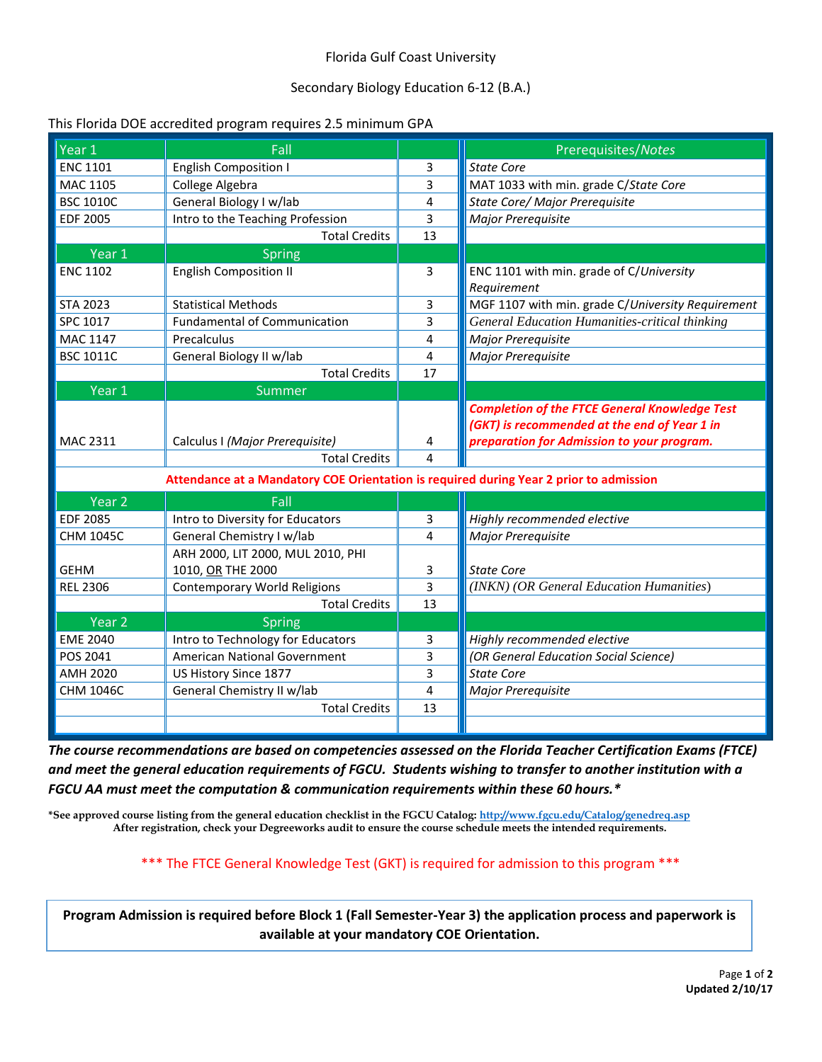## Florida Gulf Coast University

# Secondary Biology Education 6-12 (B.A.)

#### This Florida DOE accredited program requires 2.5 minimum GPA

| Year 1                                                                                 | Fall                                |    | Prerequisites/Notes                                   |  |  |
|----------------------------------------------------------------------------------------|-------------------------------------|----|-------------------------------------------------------|--|--|
| <b>ENC 1101</b>                                                                        | <b>English Composition I</b>        | 3  | <b>State Core</b>                                     |  |  |
| <b>MAC 1105</b>                                                                        | College Algebra                     | 3  | MAT 1033 with min. grade C/State Core                 |  |  |
| <b>BSC 1010C</b>                                                                       | General Biology I w/lab             | 4  | State Core/ Major Prerequisite                        |  |  |
| <b>EDF 2005</b>                                                                        | Intro to the Teaching Profession    | 3  | Major Prerequisite                                    |  |  |
|                                                                                        | <b>Total Credits</b>                | 13 |                                                       |  |  |
| Year 1                                                                                 | Spring                              |    |                                                       |  |  |
| <b>ENC 1102</b>                                                                        | <b>English Composition II</b>       | 3  | ENC 1101 with min. grade of C/University              |  |  |
|                                                                                        |                                     |    | Requirement                                           |  |  |
| <b>STA 2023</b>                                                                        | <b>Statistical Methods</b>          | 3  | MGF 1107 with min. grade C/University Requirement     |  |  |
| SPC 1017                                                                               | <b>Fundamental of Communication</b> | 3  | <b>General Education Humanities-critical thinking</b> |  |  |
| MAC 1147                                                                               | Precalculus                         | 4  | Major Prerequisite                                    |  |  |
| <b>BSC 1011C</b>                                                                       | General Biology II w/lab            | 4  | Major Prerequisite                                    |  |  |
|                                                                                        | <b>Total Credits</b>                | 17 |                                                       |  |  |
| Year 1                                                                                 | Summer                              |    |                                                       |  |  |
|                                                                                        |                                     |    | <b>Completion of the FTCE General Knowledge Test</b>  |  |  |
|                                                                                        |                                     |    | (GKT) is recommended at the end of Year 1 in          |  |  |
| MAC 2311                                                                               | Calculus I (Major Prerequisite)     | 4  | preparation for Admission to your program.            |  |  |
|                                                                                        | <b>Total Credits</b>                | 4  |                                                       |  |  |
| Attendance at a Mandatory COE Orientation is required during Year 2 prior to admission |                                     |    |                                                       |  |  |
| Year <sub>2</sub>                                                                      | Fall                                |    |                                                       |  |  |
|                                                                                        |                                     |    |                                                       |  |  |
| <b>EDF 2085</b>                                                                        | Intro to Diversity for Educators    | 3  | Highly recommended elective                           |  |  |
| <b>CHM 1045C</b>                                                                       | General Chemistry I w/lab           | 4  | Major Prerequisite                                    |  |  |
|                                                                                        | ARH 2000, LIT 2000, MUL 2010, PHI   |    |                                                       |  |  |
| <b>GEHM</b>                                                                            | 1010, OR THE 2000                   | 3  | <b>State Core</b>                                     |  |  |
| <b>REL 2306</b>                                                                        | <b>Contemporary World Religions</b> | 3  | (INKN) (OR General Education Humanities)              |  |  |
|                                                                                        | <b>Total Credits</b>                | 13 |                                                       |  |  |
| Year 2                                                                                 | <b>Spring</b>                       |    |                                                       |  |  |
| <b>EME 2040</b>                                                                        | Intro to Technology for Educators   | 3  | Highly recommended elective                           |  |  |
| POS 2041                                                                               | American National Government        | 3  | (OR General Education Social Science)                 |  |  |
| <b>AMH 2020</b>                                                                        | US History Since 1877               | 3  | <b>State Core</b>                                     |  |  |
| CHM 1046C                                                                              | General Chemistry II w/lab          | 4  | Major Prerequisite                                    |  |  |
|                                                                                        | <b>Total Credits</b>                | 13 |                                                       |  |  |
|                                                                                        |                                     |    |                                                       |  |  |

*The course recommendations are based on competencies assessed on the Florida Teacher Certification Exams (FTCE) and meet the general education requirements of FGCU. Students wishing to transfer to another institution with a FGCU AA must meet the computation & communication requirements within these 60 hours.\**

**\*See approved course listing from the general education checklist in the FGCU Catalog[: http://www.fgcu.edu/Catalog/genedreq.asp](http://www.fgcu.edu/Catalog/genedreq.asp) After registration, check your Degreeworks audit to ensure the course schedule meets the intended requirements.**

\*\*\* The FTCE General Knowledge Test (GKT) is required for admission to this program \*\*\*

**Program Admission is required before Block 1 (Fall Semester-Year 3) the application process and paperwork is available at your mandatory COE Orientation.**